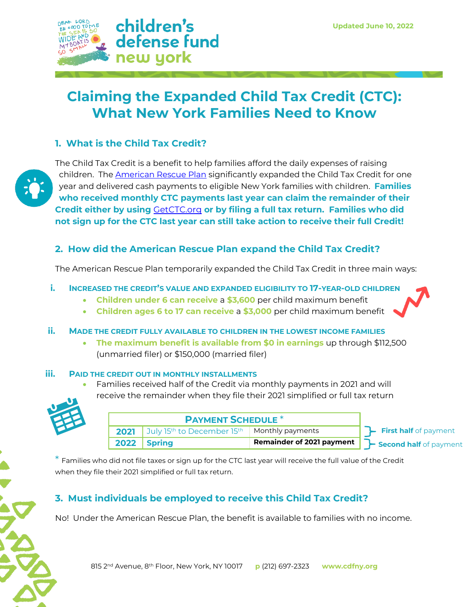

# **Claiming the Expanded Child Tax Credit (CTC): What New York Families Need to Know**

## **1. What is the Child Tax Credit?**



The Child Tax Credit is a benefit to help families afford the daily expenses of raising children. The [American Rescue Plan](https://www.childrensdefense.org/blog/american-rescue-plan-act/) significantly expanded the Child Tax Credit for one year and delivered cash payments to eligible New York families with children. **Families who received monthly CTC payments last year can claim the remainder of their Credit either by using** [GetCTC.org](https://www.getctc.org/en) **or by filing a full tax return. Families who did not sign up for the CTC last year can still take action to receive their full Credit!**

### **2. How did the American Rescue Plan expand the Child Tax Credit?**

The American Rescue Plan temporarily expanded the Child Tax Credit in three main ways:

#### **i. INCREASED THE CREDIT'S VALUE AND EXPANDED ELIGIBILITY TO 17-YEAR-OLD CHILDREN**

- **Children under 6 can receive** a **\$3,600** per child maximum benefit
- **Children ages 6 to 17 can receive** a **\$3,000** per child maximum benefit
- **ii. MADE THE CREDIT FULLY AVAILABLE TO CHILDREN IN THE LOWEST INCOME FAMILIES**
	- **The maximum benefit is available from \$0 in earnings** up through \$112,500 (unmarried filer) or \$150,000 (married filer)

#### **iii. PAID THE CREDIT OUT IN MONTHLY INSTALLMENTS**

• Families received half of the Credit via monthly payments in 2021 and will receive the remainder when they file their 2021 simplified or full tax return



| <b>PAYMENT SCHEDULE *</b> |                                                                                   |                           |                        |
|---------------------------|-----------------------------------------------------------------------------------|---------------------------|------------------------|
|                           | <b>2021</b> July 15 <sup>th</sup> to December 15 <sup>th</sup>   Monthly payments |                           | First half of payment  |
|                           | 2022 Spring                                                                       | Remainder of 2021 payment | Second half of payment |

 $^\ast$  Families who did not file taxes or sign up for the CTC last year will receive the full value of the Credit when they file their 2021 simplified or full tax return.

# **3. Must individuals be employed to receive this Child Tax Credit?**

No! Under the American Rescue Plan, the benefit is available to families with no income.